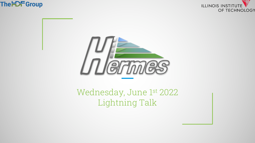





## Wednesday, June 1st 2022 Lightning Talk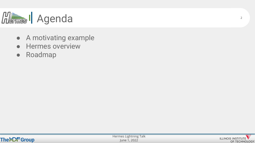

- A motivating example
- Hermes overview
- Roadmap



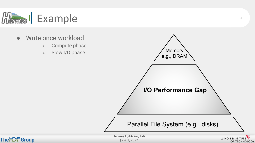

- Write once workload
	- Compute phase
	- Slow I/O phase



3

OF TECHNOLOGY



June 1, 2022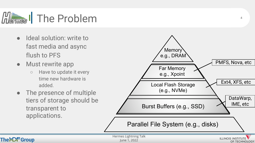

- Ideal solution: write to fast media and async flush to PFS
- Must rewrite app
	- Have to update it every time new hardware is added.
- The presence of multiple tiers of storage should be transparent to applications.



 $\Delta$ 

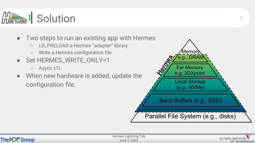

- Two steps to run an existing app with Hermes
	- LD\_PRELOAD a Hermes "adapter" library
	- Write a Hermes configuration file
- Set HERMES\_WRITE\_ONLY=1
	- Async I/O
- When new hardware is added, update the configuration file.





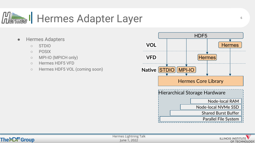

- Hermes Adapters
	- STDIO
	- POSIX

TheHC<del>F</del> Group

- MPI-IO (MPICH only)
- Hermes HDF5 VFD
- Hermes HDF5 VOL (coming soon)





6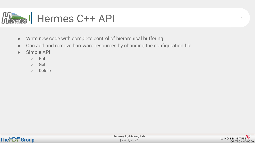

- Write new code with complete control of hierarchical buffering.
- Can add and remove hardware resources by changing the configuration file.
- Simple API
	- Put
	- Get
	- Delete

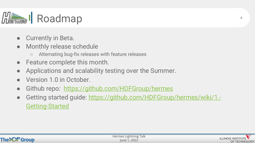

- Currently in Beta.
- Monthly release schedule
	- Alternating bug-fix releases with feature releases
- Feature complete this month.
- Applications and scalability testing over the Summer.
- Version 1.0 in October.
- Github repo: https://github.com/HDFGroup/hermes
- Getting started guide: https://github.com/HDFGroup/hermes/wiki/1 Getting-Started